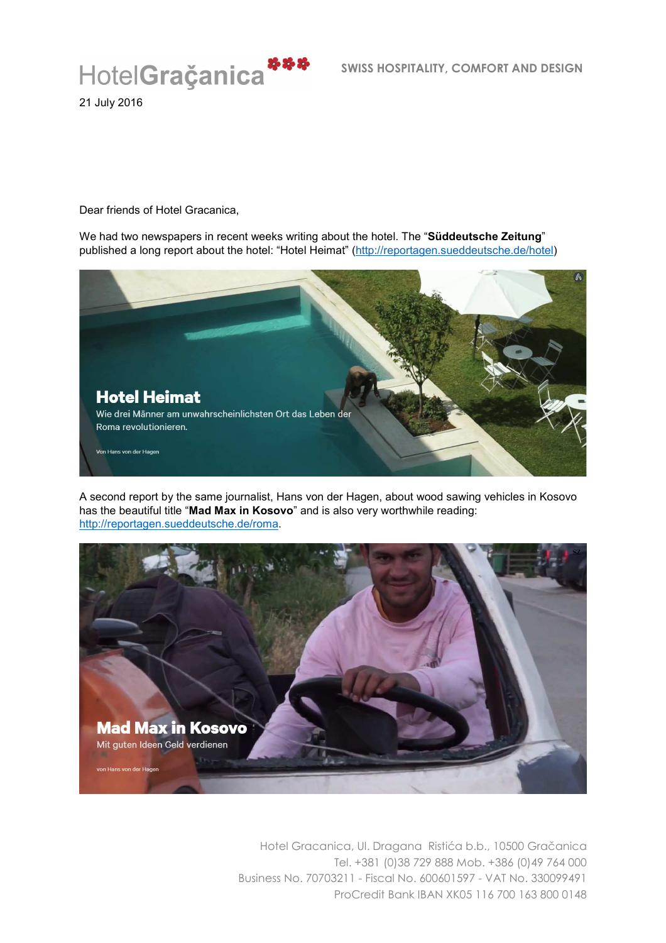

21 July 2016

Dear friends of Hotel Gracanica,

We had two newspapers in recent weeks writing about the hotel. The "**Süddeutsche Zeitung**" published a long report about the hotel: "Hotel Heimat" (http://reportagen.sueddeutsche.de/hotel)



A second report by the same journalist, Hans von der Hagen, about wood sawing vehicles in Kosovo has the beautiful title "**Mad Max in Kosovo**" and is also very worthwhile reading: http://reportagen.sueddeutsche.de/roma.

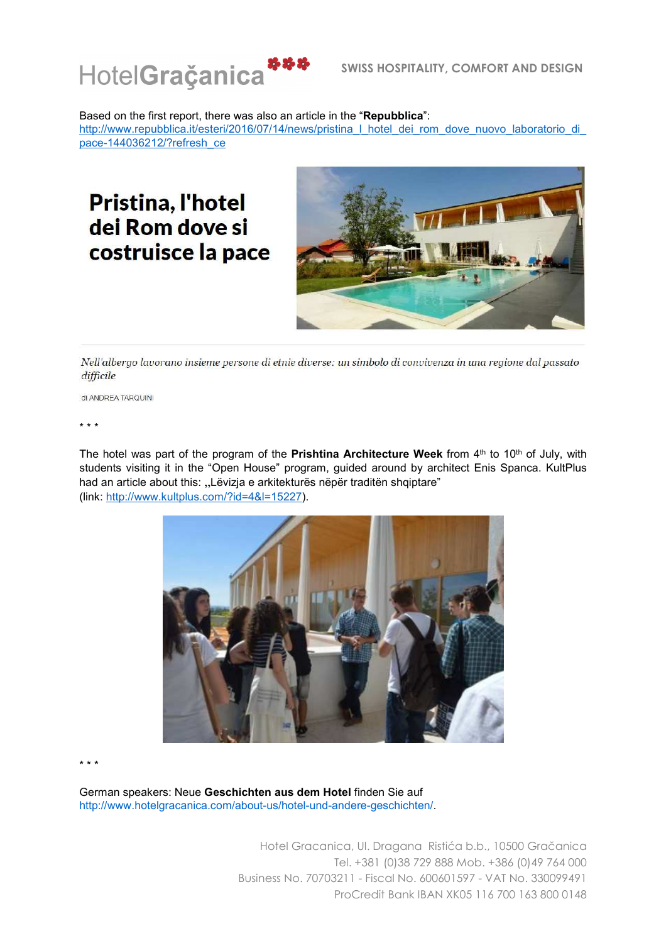

Based on the first report, there was also an article in the "**Repubblica**": http://www.repubblica.it/esteri/2016/07/14/news/pristina\_l\_hotel\_dei\_rom\_dove\_nuovo\_laboratorio\_di pace-144036212/?refresh\_ce

## Pristina, l'hotel dei Rom dove si costruisce la pace



Nell'albergo lavorano insieme persone di etnie diverse: un simbolo di convivenza in una regione dal passato difficile

di ANDREA TARQUINI

\* \* \*

The hotel was part of the program of the **Prishtina Architecture Week** from 4<sup>th</sup> to 10<sup>th</sup> of July, with students visiting it in the "Open House" program, guided around by architect Enis Spanca. KultPlus had an article about this: "Lëvizja e arkitekturës nëpër traditën shqiptare" (link: http://www.kultplus.com/?id=4&l=15227).



\* \* \*

German speakers: Neue **Geschichten aus dem Hotel** finden Sie auf http://www.hotelgracanica.com/about-us/hotel-und-andere-geschichten/.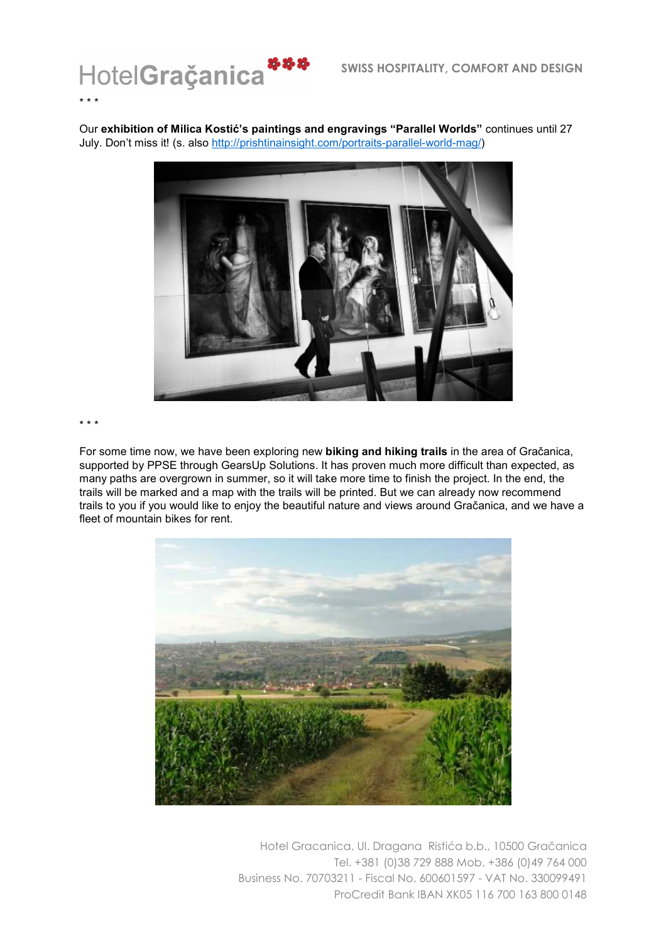

Our **exhibition of Milica Kostić's paintings and engravings "Parallel Worlds"** continues until 27 July. Don't miss it! (s. also http://prishtinainsight.com/portraits-parallel-world-mag/)



## \* \* \*

For some time now, we have been exploring new **biking and hiking trails** in the area of Gračanica, supported by PPSE through GearsUp Solutions. It has proven much more difficult than expected, as many paths are overgrown in summer, so it will take more time to finish the project. In the end, the trails will be marked and a map with the trails will be printed. But we can already now recommend trails to you if you would like to enjoy the beautiful nature and views around Gračanica, and we have a fleet of mountain bikes for rent.